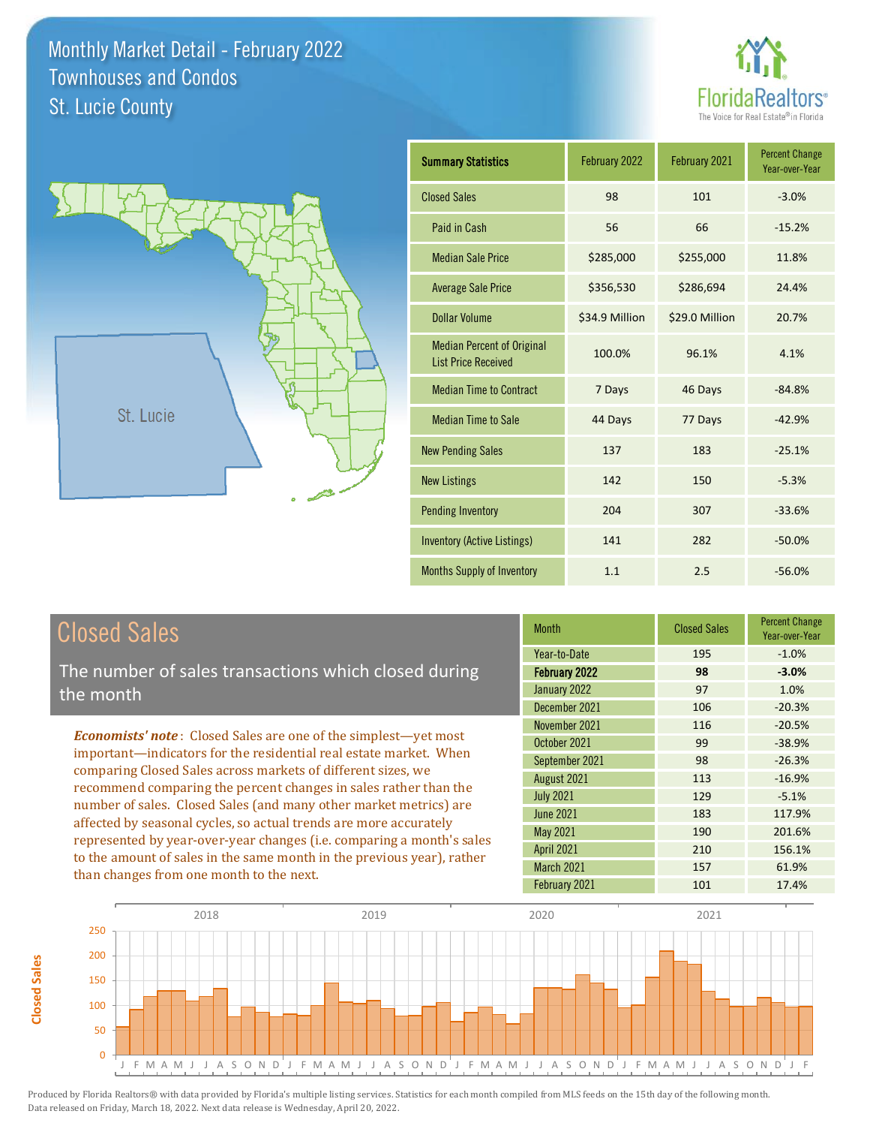



| <b>Summary Statistics</b>                                       | February 2022  | February 2021  | <b>Percent Change</b><br>Year-over-Year |
|-----------------------------------------------------------------|----------------|----------------|-----------------------------------------|
| <b>Closed Sales</b>                                             | 98             | 101            | $-3.0%$                                 |
| Paid in Cash                                                    | 56             | 66             | $-15.2%$                                |
| <b>Median Sale Price</b>                                        | \$285,000      | \$255,000      | 11.8%                                   |
| <b>Average Sale Price</b>                                       | \$356,530      | \$286,694      | 24.4%                                   |
| <b>Dollar Volume</b>                                            | \$34.9 Million | \$29.0 Million | 20.7%                                   |
| <b>Median Percent of Original</b><br><b>List Price Received</b> | 100.0%         | 96.1%          | 4.1%                                    |
| <b>Median Time to Contract</b>                                  | 7 Days         | 46 Days        | $-84.8%$                                |
| <b>Median Time to Sale</b>                                      | 44 Days        | 77 Days        | $-42.9%$                                |
| <b>New Pending Sales</b>                                        | 137            | 183            | $-25.1%$                                |
| <b>New Listings</b>                                             | 142            | 150            | $-5.3%$                                 |
| <b>Pending Inventory</b>                                        | 204            | 307            | $-33.6%$                                |
| <b>Inventory (Active Listings)</b>                              | 141            | 282            | $-50.0%$                                |
| <b>Months Supply of Inventory</b>                               | 1.1            | 2.5            | $-56.0%$                                |

## Closed Sales

**Closed Sales**

**Closed Sales** 

The number of sales transactions which closed during the month

*Economists' note* : Closed Sales are one of the simplest—yet most important—indicators for the residential real estate market. When comparing Closed Sales across markets of different sizes, we recommend comparing the percent changes in sales rather than the number of sales. Closed Sales (and many other market metrics) are affected by seasonal cycles, so actual trends are more accurately represented by year-over-year changes (i.e. comparing a month's sales to the amount of sales in the same month in the previous year), rather than changes from one month to the next.

| <b>Month</b>         | <b>Closed Sales</b> | <b>Percent Change</b><br>Year-over-Year |
|----------------------|---------------------|-----------------------------------------|
| Year-to-Date         | 195                 | $-1.0%$                                 |
| <b>February 2022</b> | 98                  | $-3.0%$                                 |
| January 2022         | 97                  | 1.0%                                    |
| December 2021        | 106                 | $-20.3%$                                |
| November 2021        | 116                 | $-20.5%$                                |
| October 2021         | 99                  | $-38.9%$                                |
| September 2021       | 98                  | $-26.3%$                                |
| August 2021          | 113                 | $-16.9%$                                |
| <b>July 2021</b>     | 129                 | $-5.1%$                                 |
| <b>June 2021</b>     | 183                 | 117.9%                                  |
| <b>May 2021</b>      | 190                 | 201.6%                                  |
| <b>April 2021</b>    | 210                 | 156.1%                                  |
| March 2021           | 157                 | 61.9%                                   |
| February 2021        | 101                 | 17.4%                                   |

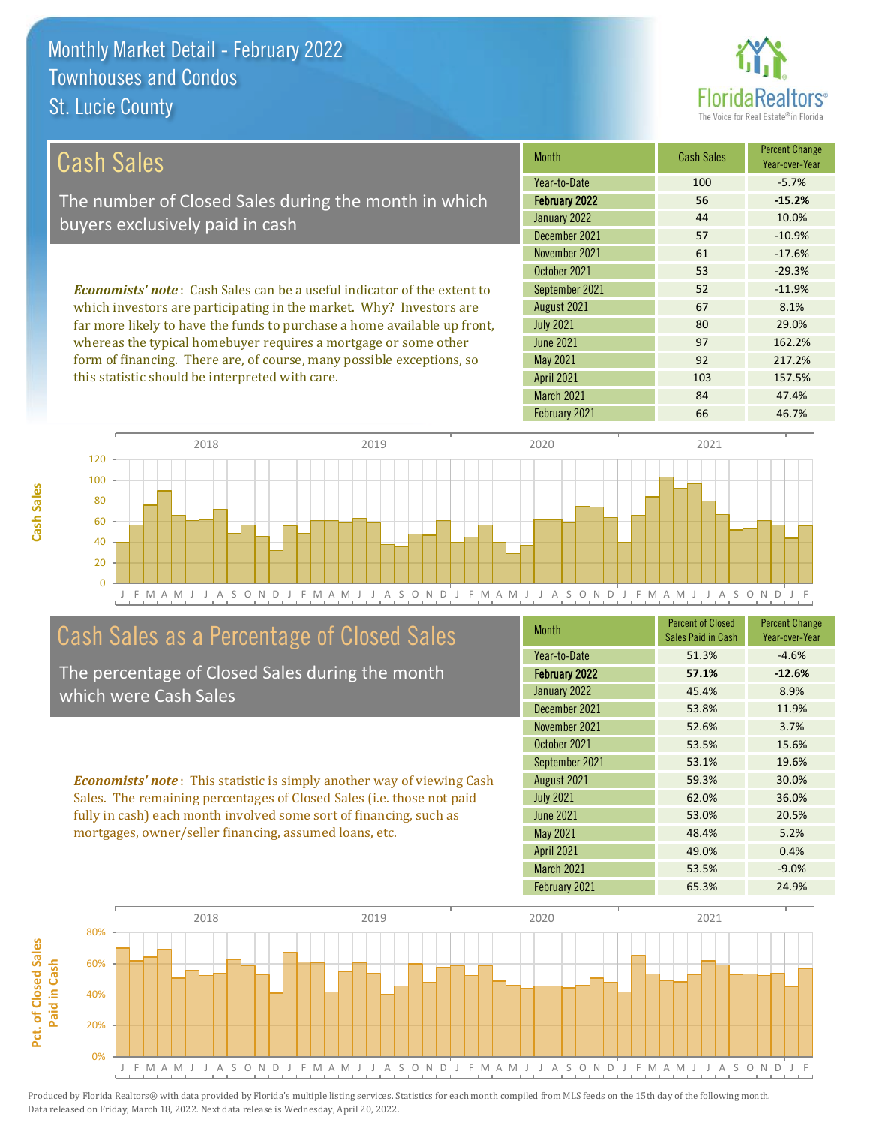

| Cash Sales                                                                     | <b>Month</b>      | <b>Cash Sales</b> | <b>Percent Change</b><br>Year-over-Year |
|--------------------------------------------------------------------------------|-------------------|-------------------|-----------------------------------------|
|                                                                                | Year-to-Date      | 100               | $-5.7%$                                 |
| The number of Closed Sales during the month in which                           | February 2022     | 56                | $-15.2%$                                |
| buyers exclusively paid in cash                                                | January 2022      | 44                | 10.0%                                   |
|                                                                                | December 2021     | 57                | $-10.9\%$                               |
|                                                                                | November 2021     | 61                | $-17.6%$                                |
|                                                                                | October 2021      | 53                | $-29.3%$                                |
| <b>Economists' note:</b> Cash Sales can be a useful indicator of the extent to | September 2021    | 52                | $-11.9%$                                |
| which investors are participating in the market. Why? Investors are            | August 2021       | 67                | 8.1%                                    |
| far more likely to have the funds to purchase a home available up front,       | <b>July 2021</b>  | 80                | 29.0%                                   |
| whereas the typical homebuyer requires a mortgage or some other                | June 2021         | 97                | 162.2%                                  |
| form of financing. There are, of course, many possible exceptions, so          | May 2021          | 92                | 217.2%                                  |
| this statistic should be interpreted with care.                                | <b>April 2021</b> | 103               | 157.5%                                  |



## Cash Sales as a Percentage of Closed Sales

**Cash Sales**

The percentage of Closed Sales during the month which were Cash Sales

*Economists' note* : This statistic is simply another way of viewing Cash Sales. The remaining percentages of Closed Sales (i.e. those not paid fully in cash) each month involved some sort of financing, such as mortgages, owner/seller financing, assumed loans, etc.

| <b>Month</b>         | <b>Percent of Closed</b><br>Sales Paid in Cash | <b>Percent Change</b><br>Year-over-Year |
|----------------------|------------------------------------------------|-----------------------------------------|
| Year-to-Date         | 51.3%                                          | $-4.6%$                                 |
| <b>February 2022</b> | 57.1%                                          | $-12.6%$                                |
| January 2022         | 45.4%                                          | 8.9%                                    |
| December 2021        | 53.8%                                          | 11.9%                                   |
| November 2021        | 52.6%                                          | 3.7%                                    |
| October 2021         | 53.5%                                          | 15.6%                                   |
| September 2021       | 53.1%                                          | 19.6%                                   |
| August 2021          | 59.3%                                          | 30.0%                                   |
| <b>July 2021</b>     | 62.0%                                          | 36.0%                                   |
| <b>June 2021</b>     | 53.0%                                          | 20.5%                                   |
| <b>May 2021</b>      | 48.4%                                          | 5.2%                                    |
| <b>April 2021</b>    | 49.0%                                          | 0.4%                                    |
| March 2021           | 53.5%                                          | $-9.0%$                                 |
| February 2021        | 65.3%                                          | 24.9%                                   |

March 2021 84 47.4%

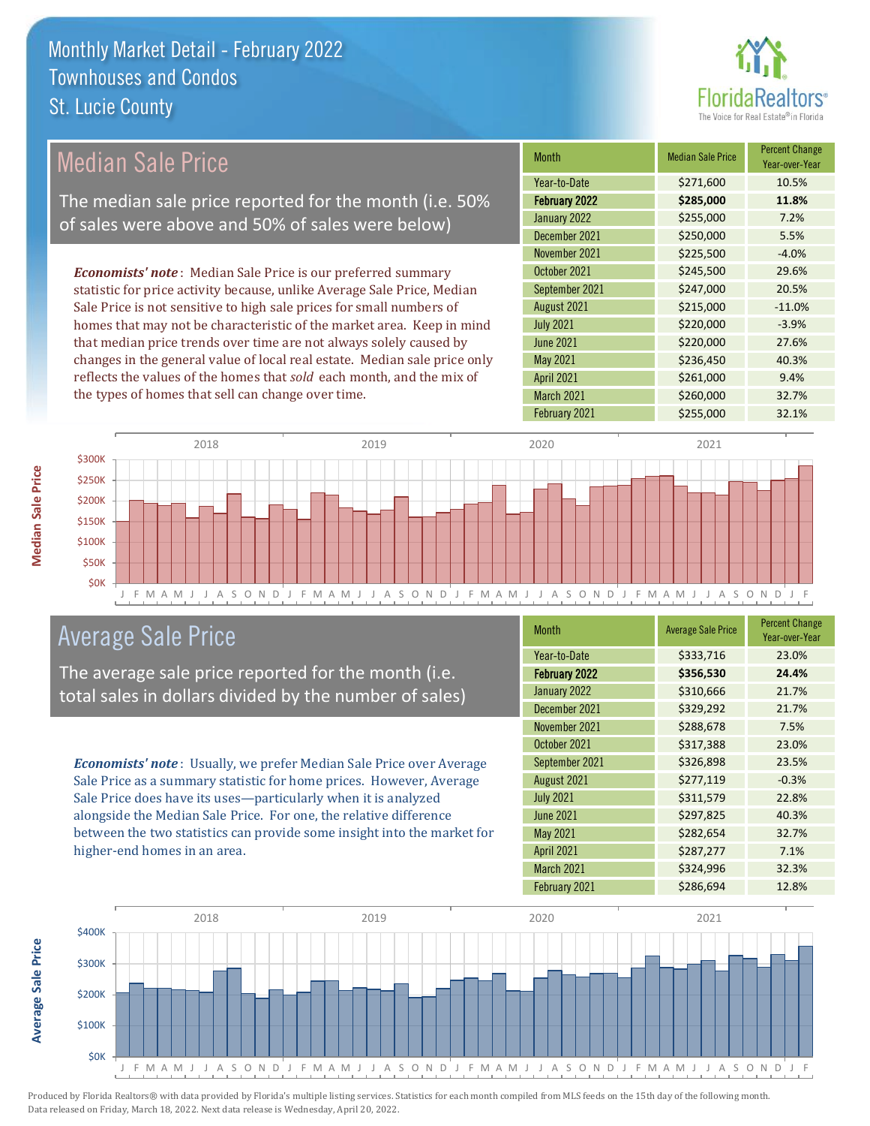

| Median Sale Price                                                         | <b>Month</b>      | <b>Median Sale Price</b> | <b>Percent Change</b><br>Year-over-Year |
|---------------------------------------------------------------------------|-------------------|--------------------------|-----------------------------------------|
|                                                                           | Year-to-Date      | \$271,600                | 10.5%                                   |
| The median sale price reported for the month (i.e. 50%                    | February 2022     | \$285,000                | 11.8%                                   |
| of sales were above and 50% of sales were below)                          | January 2022      | \$255,000                | 7.2%                                    |
|                                                                           | December 2021     | \$250,000                | 5.5%                                    |
|                                                                           | November 2021     | \$225,500                | $-4.0%$                                 |
| <b>Economists' note:</b> Median Sale Price is our preferred summary       | October 2021      | \$245,500                | 29.6%                                   |
| statistic for price activity because, unlike Average Sale Price, Median   | September 2021    | \$247,000                | 20.5%                                   |
| Sale Price is not sensitive to high sale prices for small numbers of      | August 2021       | \$215,000                | $-11.0%$                                |
| homes that may not be characteristic of the market area. Keep in mind     | <b>July 2021</b>  | \$220,000                | $-3.9%$                                 |
| that median price trends over time are not always solely caused by        | <b>June 2021</b>  | \$220,000                | 27.6%                                   |
| changes in the general value of local real estate. Median sale price only | May 2021          | \$236,450                | 40.3%                                   |
| reflects the values of the homes that sold each month, and the mix of     | <b>April 2021</b> | \$261,000                | 9.4%                                    |
| the types of homes that sell can change over time.                        | March 2021        | \$260,000                | 32.7%                                   |
|                                                                           | February 2021     | \$255,000                | 32.1%                                   |



### Average Sale Price

The average sale price reported for the month (i.e. total sales in dollars divided by the number of sales)

*Economists' note* : Usually, we prefer Median Sale Price over Average Sale Price as a summary statistic for home prices. However, Average Sale Price does have its uses—particularly when it is analyzed alongside the Median Sale Price. For one, the relative difference between the two statistics can provide some insight into the market for higher-end homes in an area.

| <b>Month</b>         | <b>Average Sale Price</b> | <b>Percent Change</b><br>Year-over-Year |
|----------------------|---------------------------|-----------------------------------------|
| Year-to-Date         | \$333,716                 | 23.0%                                   |
| <b>February 2022</b> | \$356,530                 | 24.4%                                   |
| January 2022         | \$310,666                 | 21.7%                                   |
| December 2021        | \$329,292                 | 21.7%                                   |
| November 2021        | \$288,678                 | 7.5%                                    |
| October 2021         | \$317,388                 | 23.0%                                   |
| September 2021       | \$326,898                 | 23.5%                                   |
| August 2021          | \$277,119                 | $-0.3%$                                 |
| <b>July 2021</b>     | \$311,579                 | 22.8%                                   |
| <b>June 2021</b>     | \$297,825                 | 40.3%                                   |
| <b>May 2021</b>      | \$282,654                 | 32.7%                                   |
| <b>April 2021</b>    | \$287,277                 | 7.1%                                    |
| March 2021           | \$324,996                 | 32.3%                                   |
| February 2021        | \$286,694                 | 12.8%                                   |

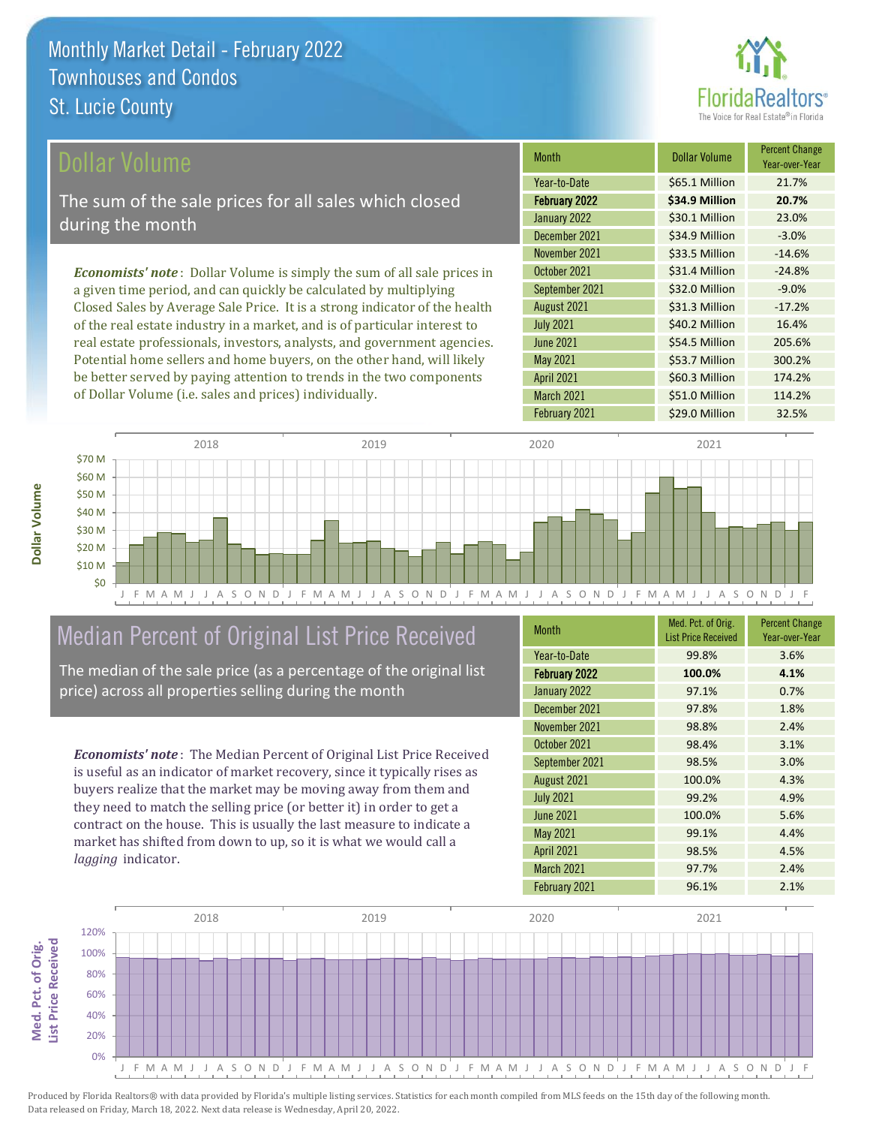

\$60.3 Million 174.2%

March 2021 \$51.0 Million 114.2%

April 2021

February 2021 **\$29.0 Million 32.5%** 

| <b>Dollar Volume</b>                                                           | <b>Month</b>     | <b>Dollar Volume</b> | <b>Percent Change</b><br>Year-over-Year |
|--------------------------------------------------------------------------------|------------------|----------------------|-----------------------------------------|
|                                                                                | Year-to-Date     | \$65.1 Million       | 21.7%                                   |
| The sum of the sale prices for all sales which closed                          | February 2022    | \$34.9 Million       | 20.7%                                   |
| during the month                                                               | January 2022     | \$30.1 Million       | 23.0%                                   |
|                                                                                | December 2021    | \$34.9 Million       | $-3.0%$                                 |
|                                                                                | November 2021    | \$33.5 Million       | $-14.6%$                                |
| <b>Economists' note:</b> Dollar Volume is simply the sum of all sale prices in | October 2021     | \$31.4 Million       | $-24.8%$                                |
| a given time period, and can quickly be calculated by multiplying              | September 2021   | \$32.0 Million       | $-9.0%$                                 |
| Closed Sales by Average Sale Price. It is a strong indicator of the health     | August 2021      | \$31.3 Million       | $-17.2%$                                |
| of the real estate industry in a market, and is of particular interest to      | <b>July 2021</b> | \$40.2 Million       | 16.4%                                   |
| real estate professionals, investors, analysts, and government agencies.       | <b>June 2021</b> | \$54.5 Million       | 205.6%                                  |
| Potential home sellers and home buyers, on the other hand, will likely         | <b>May 2021</b>  | \$53.7 Million       | 300.2%                                  |



## Median Percent of Original List Price Received

be better served by paying attention to trends in the two components

of Dollar Volume (i.e. sales and prices) individually.

The median of the sale price (as a percentage of the original list price) across all properties selling during the month

*Economists' note* : The Median Percent of Original List Price Received is useful as an indicator of market recovery, since it typically rises as buyers realize that the market may be moving away from them and they need to match the selling price (or better it) in order to get a contract on the house. This is usually the last measure to indicate a market has shifted from down to up, so it is what we would call a *lagging* indicator.

| <b>Month</b>         | Med. Pct. of Orig.<br><b>List Price Received</b> | <b>Percent Change</b><br>Year-over-Year |
|----------------------|--------------------------------------------------|-----------------------------------------|
| Year-to-Date         | 99.8%                                            | 3.6%                                    |
| <b>February 2022</b> | 100.0%                                           | 4.1%                                    |
| January 2022         | 97.1%                                            | 0.7%                                    |
| December 2021        | 97.8%                                            | 1.8%                                    |
| November 2021        | 98.8%                                            | 2.4%                                    |
| October 2021         | 98.4%                                            | 3.1%                                    |
| September 2021       | 98.5%                                            | 3.0%                                    |
| August 2021          | 100.0%                                           | 4.3%                                    |
| <b>July 2021</b>     | 99.2%                                            | 4.9%                                    |
| <b>June 2021</b>     | 100.0%                                           | 5.6%                                    |
| <b>May 2021</b>      | 99.1%                                            | 4.4%                                    |
| <b>April 2021</b>    | 98.5%                                            | 4.5%                                    |
| March 2021           | 97.7%                                            | 2.4%                                    |
| February 2021        | 96.1%                                            | 2.1%                                    |



**Dollar Volume**

**Dollar Volume** 

**Med. Pct. of Orig.** 

Med. Pct. of Orig.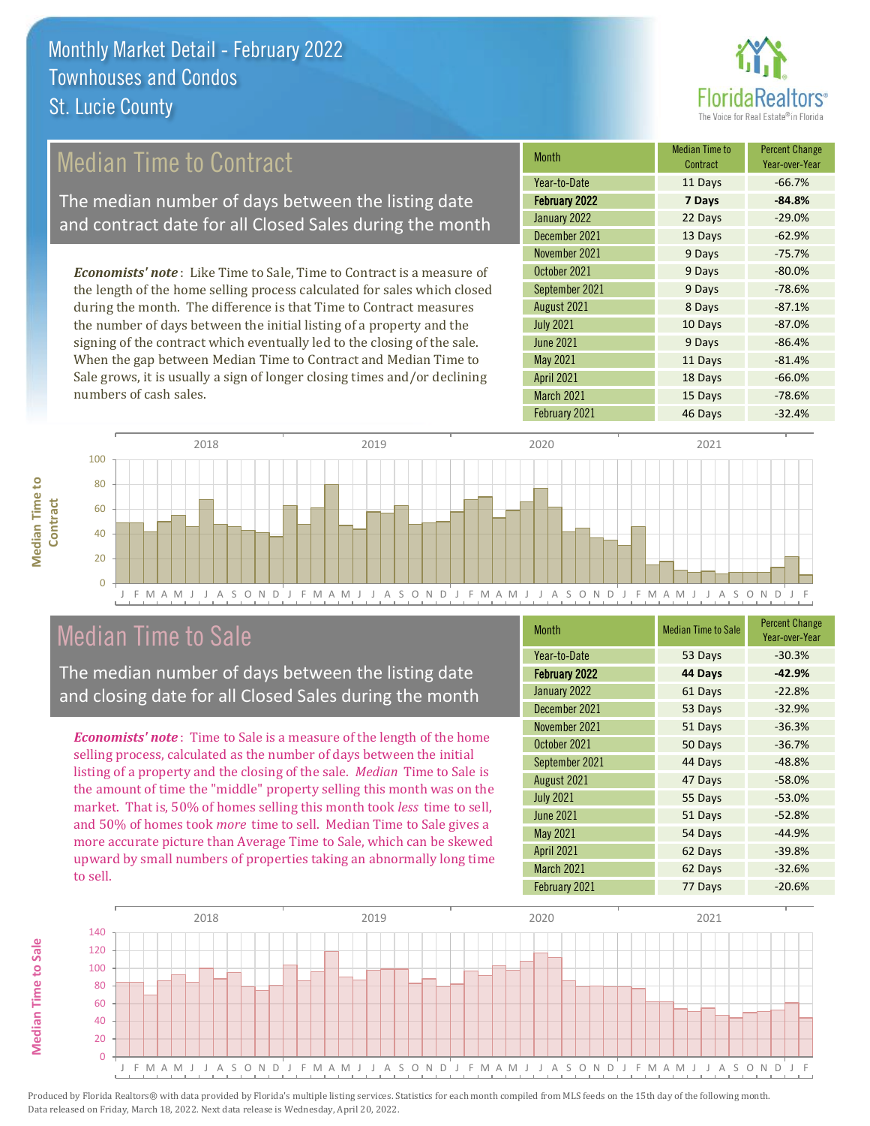

## Median Time to Contract

The median number of days between the listing date and contract date for all Closed Sales during the month

*Economists' note* : Like Time to Sale, Time to Contract is a measure of the length of the home selling process calculated for sales which closed during the month. The difference is that Time to Contract measures the number of days between the initial listing of a property and the signing of the contract which eventually led to the closing of the sale. When the gap between Median Time to Contract and Median Time to Sale grows, it is usually a sign of longer closing times and/or declining numbers of cash sales.

| Median Time to<br>Contract | <b>Percent Change</b><br>Year-over-Year |
|----------------------------|-----------------------------------------|
| 11 Days                    | $-66.7%$                                |
| 7 Days                     | $-84.8%$                                |
| 22 Days                    | $-29.0%$                                |
| 13 Days                    | $-62.9%$                                |
| 9 Days                     | $-75.7%$                                |
| 9 Days                     | $-80.0%$                                |
| 9 Days                     | $-78.6%$                                |
| 8 Days                     | $-87.1%$                                |
| 10 Days                    | $-87.0%$                                |
| 9 Days                     | $-86.4%$                                |
| 11 Days                    | $-81.4%$                                |
| 18 Days                    | $-66.0%$                                |
| 15 Days                    | $-78.6%$                                |
| 46 Days                    | $-32.4%$                                |
|                            |                                         |



### Median Time to Sale

**Median Time to Sale**

**Median Time to Sale** 

The median number of days between the listing date and closing date for all Closed Sales during the month

*Economists' note* : Time to Sale is a measure of the length of the home selling process, calculated as the number of days between the initial listing of a property and the closing of the sale. *Median* Time to Sale is the amount of time the "middle" property selling this month was on the market. That is, 50% of homes selling this month took *less* time to sell, and 50% of homes took *more* time to sell. Median Time to Sale gives a more accurate picture than Average Time to Sale, which can be skewed upward by small numbers of properties taking an abnormally long time to sell.

| <b>Median Time to Sale</b> | <b>Percent Change</b><br>Year-over-Year |
|----------------------------|-----------------------------------------|
| 53 Days                    | $-30.3%$                                |
| 44 Days                    | $-42.9%$                                |
| 61 Days                    | $-22.8%$                                |
| 53 Days                    | $-32.9%$                                |
| 51 Days                    | $-36.3%$                                |
| 50 Days                    | $-36.7%$                                |
| 44 Days                    | $-48.8%$                                |
| 47 Days                    | $-58.0%$                                |
| 55 Days                    | $-53.0%$                                |
| 51 Days                    | $-52.8%$                                |
| 54 Days                    | $-44.9%$                                |
| 62 Days                    | $-39.8%$                                |
| 62 Days                    | $-32.6%$                                |
| 77 Days                    | $-20.6%$                                |
|                            |                                         |

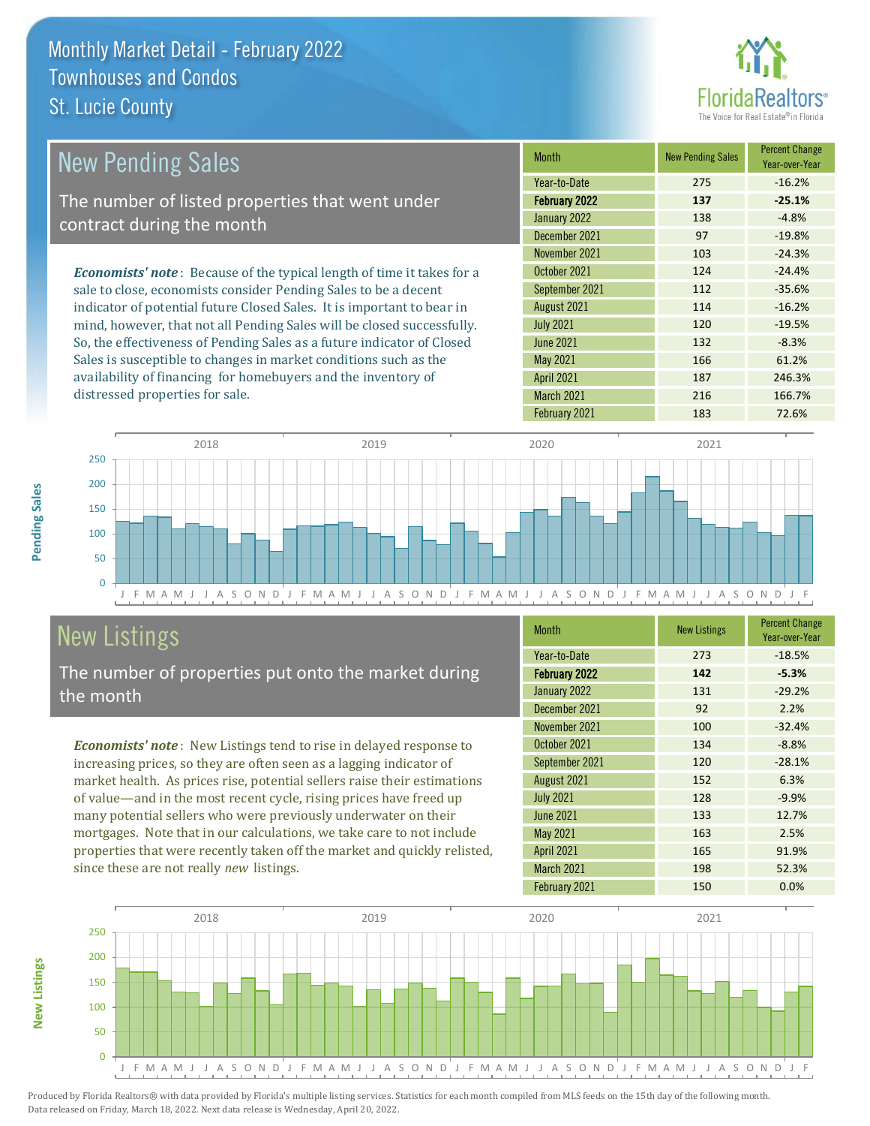

| <b>New Pending Sales</b>                                                      | <b>Month</b>      | <b>New Pending Sales</b> | <b>Percent Change</b><br>Year-over-Year |
|-------------------------------------------------------------------------------|-------------------|--------------------------|-----------------------------------------|
|                                                                               | Year-to-Date      | 275                      | $-16.2%$                                |
| The number of listed properties that went under                               | February 2022     | 137                      | $-25.1%$                                |
| contract during the month                                                     | January 2022      | 138                      | $-4.8%$                                 |
|                                                                               | December 2021     | 97                       | $-19.8%$                                |
|                                                                               | November 2021     | 103                      | $-24.3%$                                |
| <b>Economists' note:</b> Because of the typical length of time it takes for a | October 2021      | 124                      | $-24.4%$                                |
| sale to close, economists consider Pending Sales to be a decent               | September 2021    | 112                      | $-35.6%$                                |
| indicator of potential future Closed Sales. It is important to bear in        | August 2021       | 114                      | $-16.2%$                                |
| mind, however, that not all Pending Sales will be closed successfully.        | <b>July 2021</b>  | 120                      | $-19.5%$                                |
| So, the effectiveness of Pending Sales as a future indicator of Closed        | <b>June 2021</b>  | 132                      | $-8.3%$                                 |
| Sales is susceptible to changes in market conditions such as the              | May 2021          | 166                      | 61.2%                                   |
| availability of financing for homebuyers and the inventory of                 | <b>April 2021</b> | 187                      | 246.3%                                  |



## New Listings

distressed properties for sale.

The number of properties put onto the market during the month

*Economists' note* : New Listings tend to rise in delayed response to increasing prices, so they are often seen as a lagging indicator of market health. As prices rise, potential sellers raise their estimations of value—and in the most recent cycle, rising prices have freed up many potential sellers who were previously underwater on their mortgages. Note that in our calculations, we take care to not include properties that were recently taken off the market and quickly relisted, since these are not really *new* listings.

| <b>Month</b>         | <b>New Listings</b> | <b>Percent Change</b><br>Year-over-Year |
|----------------------|---------------------|-----------------------------------------|
| Year-to-Date         | 273                 | $-18.5%$                                |
| <b>February 2022</b> | 142                 | $-5.3%$                                 |
| January 2022         | 131                 | $-29.2%$                                |
| December 2021        | 92                  | 2.2%                                    |
| November 2021        | 100                 | $-32.4%$                                |
| October 2021         | 134                 | $-8.8%$                                 |
| September 2021       | 120                 | $-28.1%$                                |
| August 2021          | 152                 | 6.3%                                    |
| <b>July 2021</b>     | 128                 | $-9.9%$                                 |
| <b>June 2021</b>     | 133                 | 12.7%                                   |
| <b>May 2021</b>      | 163                 | 2.5%                                    |
| <b>April 2021</b>    | 165                 | 91.9%                                   |
| March 2021           | 198                 | 52.3%                                   |
| February 2021        | 150                 | 0.0%                                    |

February 2021 183 72.6%

March 2021 216 216 166.7%



**New Listings**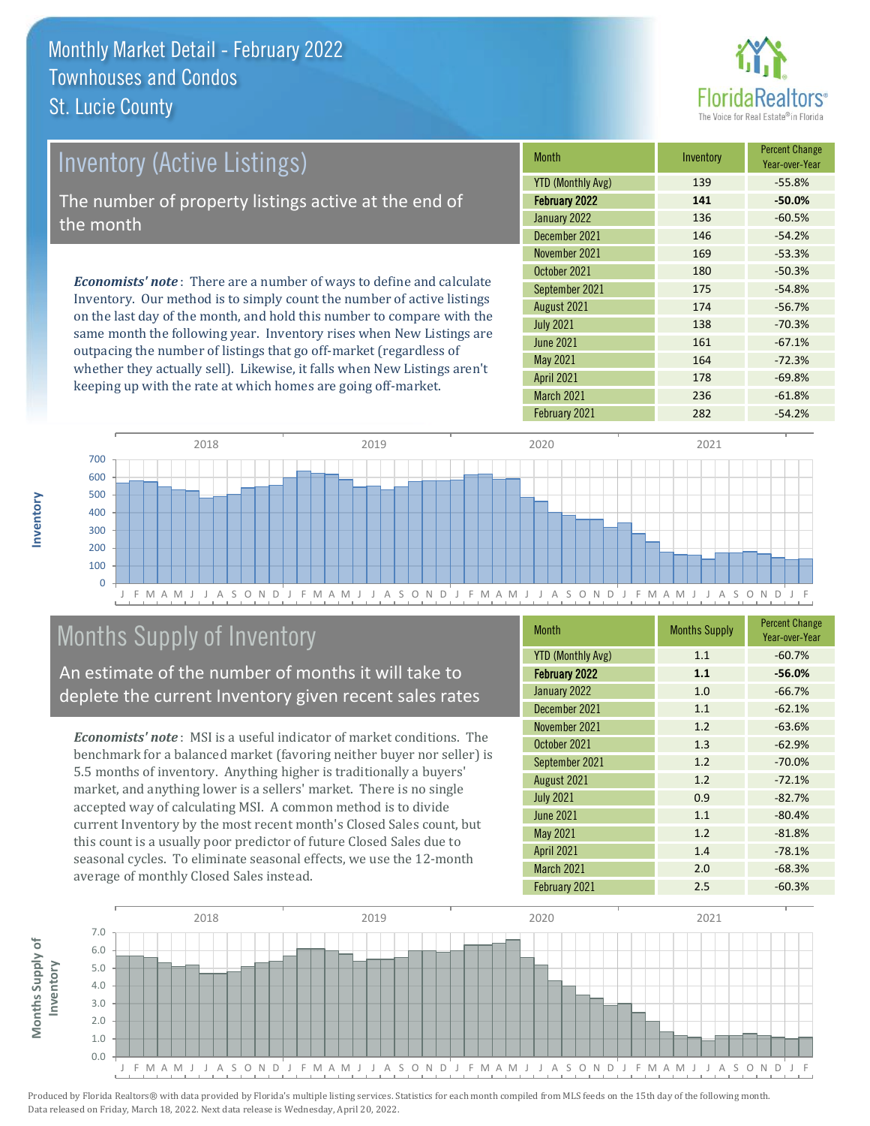

| <b>Inventory (Active Listings)</b>                                                                                                                    | Month                    | Inventory | <b>Percent Change</b><br>Year-over-Year |
|-------------------------------------------------------------------------------------------------------------------------------------------------------|--------------------------|-----------|-----------------------------------------|
|                                                                                                                                                       | <b>YTD (Monthly Avg)</b> | 139       | $-55.8%$                                |
| The number of property listings active at the end of                                                                                                  | February 2022            | 141       | $-50.0%$                                |
| the month                                                                                                                                             | January 2022             | 136       | $-60.5%$                                |
|                                                                                                                                                       | December 2021            | 146       | $-54.2%$                                |
|                                                                                                                                                       | November 2021            | 169       | $-53.3%$                                |
| <b>Economists' note:</b> There are a number of ways to define and calculate<br>Inventory. Our method is to simply count the number of active listings | October 2021             | 180       | $-50.3%$                                |
|                                                                                                                                                       | September 2021           | 175       | $-54.8%$                                |
|                                                                                                                                                       | August 2021              | 174       | $-56.7%$                                |

on the last day of the month, and hold this number to compare with the same month the following year. Inventory rises when New Listings are outpacing the number of listings that go off-market (regardless of whether they actually sell). Likewise, it falls when New Listings aren't keeping up with the rate at which homes are going off-market.

| ,,,,,,,,,                | ,,,,,,,,,,, | Year-over-Year |
|--------------------------|-------------|----------------|
| <b>YTD (Monthly Avg)</b> | 139         | $-55.8%$       |
| <b>February 2022</b>     | 141         | $-50.0%$       |
| January 2022             | 136         | $-60.5%$       |
| December 2021            | 146         | $-54.2%$       |
| November 2021            | 169         | $-53.3%$       |
| October 2021             | 180         | $-50.3%$       |
| September 2021           | 175         | $-54.8%$       |
| August 2021              | 174         | $-56.7%$       |
| <b>July 2021</b>         | 138         | $-70.3%$       |
| <b>June 2021</b>         | 161         | $-67.1%$       |
| <b>May 2021</b>          | 164         | $-72.3%$       |
| <b>April 2021</b>        | 178         | $-69.8%$       |
| March 2021               | 236         | $-61.8%$       |
| February 2021            | 282         | $-54.2%$       |



## Months Supply of Inventory

An estimate of the number of months it will take to deplete the current Inventory given recent sales rates

*Economists' note* : MSI is a useful indicator of market conditions. The benchmark for a balanced market (favoring neither buyer nor seller) is 5.5 months of inventory. Anything higher is traditionally a buyers' market, and anything lower is a sellers' market. There is no single accepted way of calculating MSI. A common method is to divide current Inventory by the most recent month's Closed Sales count, but this count is a usually poor predictor of future Closed Sales due to seasonal cycles. To eliminate seasonal effects, we use the 12-month average of monthly Closed Sales instead.

| <b>Month</b>             | <b>Months Supply</b> | <b>Percent Change</b><br>Year-over-Year |
|--------------------------|----------------------|-----------------------------------------|
| <b>YTD (Monthly Avg)</b> | 1.1                  | $-60.7%$                                |
| <b>February 2022</b>     | 1.1                  | $-56.0%$                                |
| January 2022             | 1.0                  | $-66.7%$                                |
| December 2021            | 1.1                  | $-62.1%$                                |
| November 2021            | 1.2                  | $-63.6%$                                |
| October 2021             | 1.3                  | $-62.9%$                                |
| September 2021           | 1.2                  | $-70.0%$                                |
| August 2021              | 1.2                  | $-72.1%$                                |
| <b>July 2021</b>         | 0.9                  | $-82.7%$                                |
| <b>June 2021</b>         | 1.1                  | $-80.4%$                                |
| <b>May 2021</b>          | 1.2                  | $-81.8%$                                |
| <b>April 2021</b>        | 1.4                  | $-78.1%$                                |
| March 2021               | 2.0                  | $-68.3%$                                |
| February 2021            | 2.5                  | $-60.3%$                                |



**Months Supply of** 

Months Supply of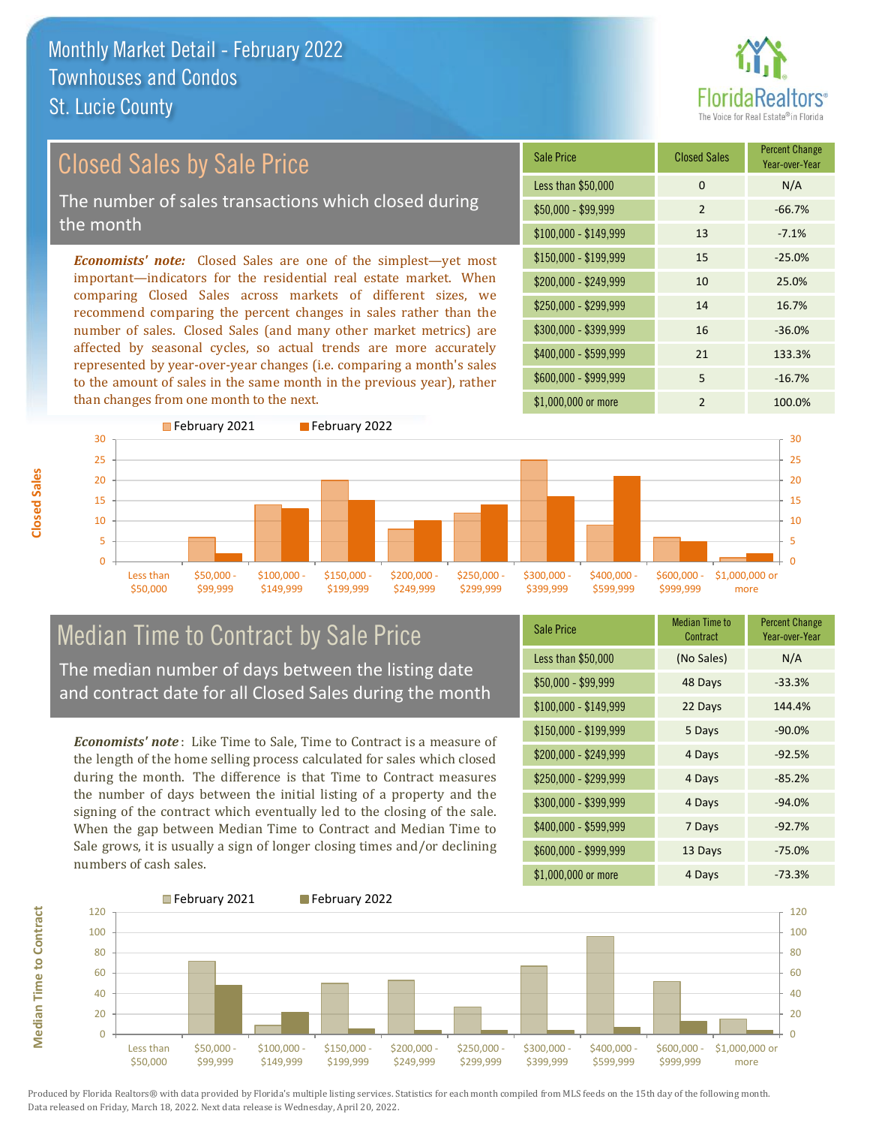

## Closed Sales by Sale Price

The number of sales transactions which closed during the month

*Economists' note:* Closed Sales are one of the simplest—yet most important—indicators for the residential real estate market. When comparing Closed Sales across markets of different sizes, we recommend comparing the percent changes in sales rather than the number of sales. Closed Sales (and many other market metrics) are affected by seasonal cycles, so actual trends are more accurately represented by year-over-year changes (i.e. comparing a month's sales to the amount of sales in the same month in the previous year), rather than changes from one month to the next.

| Sale Price            | <b>Closed Sales</b> | <b>Percent Change</b><br>Year-over-Year |
|-----------------------|---------------------|-----------------------------------------|
| Less than \$50,000    | $\Omega$            | N/A                                     |
| $$50,000 - $99,999$   | $\overline{2}$      | $-66.7%$                                |
| $$100,000 - $149,999$ | 13                  | $-7.1%$                                 |
| $$150,000 - $199,999$ | 15                  | $-25.0%$                                |
| \$200,000 - \$249,999 | 10                  | 25.0%                                   |
| \$250,000 - \$299,999 | 14                  | 16.7%                                   |
| \$300,000 - \$399,999 | 16                  | $-36.0%$                                |
| \$400,000 - \$599,999 | 21                  | 133.3%                                  |
| \$600,000 - \$999,999 | 5                   | $-16.7%$                                |
| \$1,000,000 or more   | $\mathfrak{p}$      | 100.0%                                  |



## Median Time to Contract by Sale Price

The median number of days between the listing date and contract date for all Closed Sales during the month

*Economists' note* : Like Time to Sale, Time to Contract is a measure of the length of the home selling process calculated for sales which closed during the month. The difference is that Time to Contract measures the number of days between the initial listing of a property and the signing of the contract which eventually led to the closing of the sale. When the gap between Median Time to Contract and Median Time to Sale grows, it is usually a sign of longer closing times and/or declining numbers of cash sales.

| Sale Price            | <b>Median Time to</b><br>Contract | <b>Percent Change</b><br>Year-over-Year |
|-----------------------|-----------------------------------|-----------------------------------------|
| Less than \$50,000    | (No Sales)                        | N/A                                     |
| $$50,000 - $99,999$   | 48 Days                           | $-33.3%$                                |
| $$100,000 - $149,999$ | 22 Days                           | 144.4%                                  |
| $$150,000 - $199,999$ | 5 Days                            | $-90.0%$                                |
| \$200,000 - \$249,999 | 4 Days                            | $-92.5%$                                |
| \$250,000 - \$299,999 | 4 Days                            | $-85.2%$                                |
| \$300,000 - \$399,999 | 4 Days                            | $-94.0%$                                |
| \$400,000 - \$599,999 | 7 Days                            | $-92.7%$                                |
| \$600,000 - \$999,999 | 13 Days                           | $-75.0%$                                |
| \$1,000,000 or more   | 4 Days                            | $-73.3%$                                |



Produced by Florida Realtors® with data provided by Florida's multiple listing services. Statistics for each month compiled from MLS feeds on the 15th day of the following month. Data released on Friday, March 18, 2022. Next data release is Wednesday, April 20, 2022.

**Median Time to Contract**

**Median Time to Contract**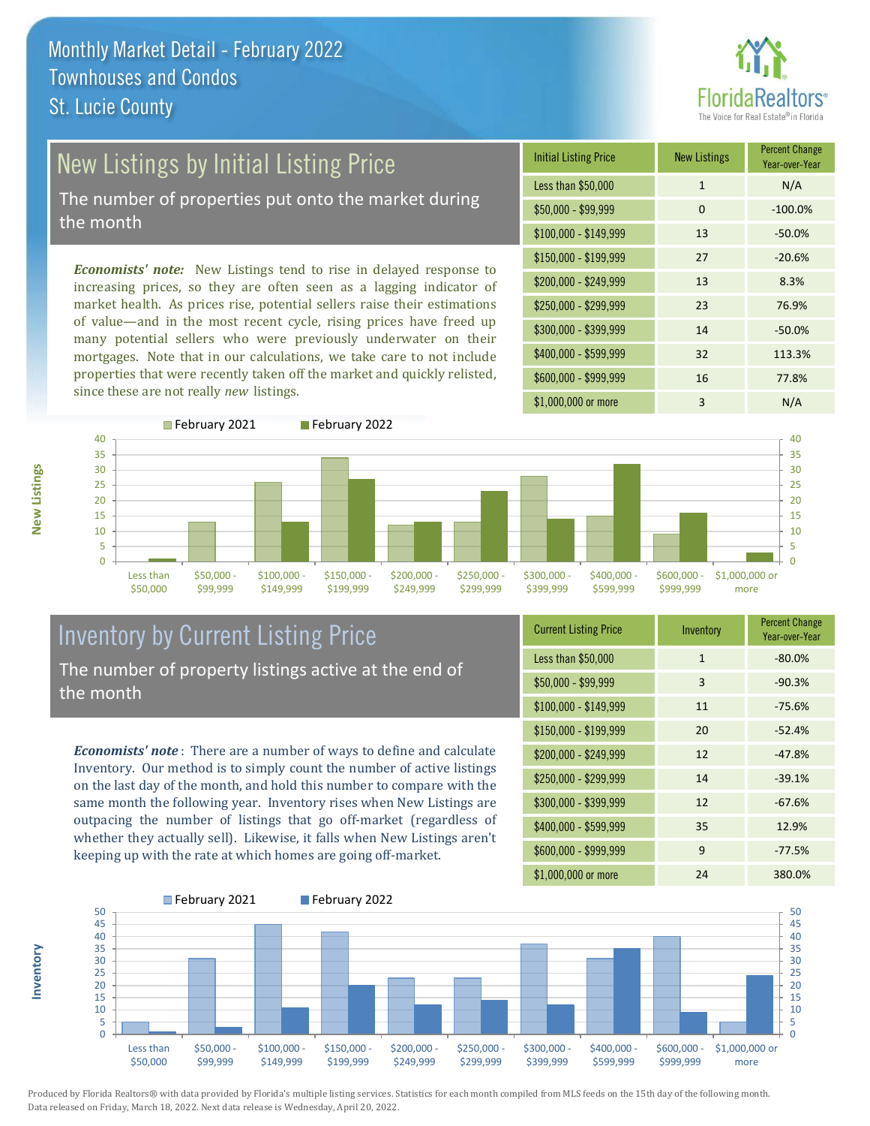

# New Listings by Initial Listing Price

The number of properties put onto the market during the month

*Economists' note:* New Listings tend to rise in delayed response to increasing prices, so they are often seen as a lagging indicator of market health. As prices rise, potential sellers raise their estimations of value—and in the most recent cycle, rising prices have freed up many potential sellers who were previously underwater on their mortgages. Note that in our calculations, we take care to not include properties that were recently taken off the market and quickly relisted, since these are not really *new* listings.





**Inventory**



### Inventory by Current Listing Price The number of property listings active at the end of the month

*Economists' note* : There are a number of ways to define and calculate Inventory. Our method is to simply count the number of active listings on the last day of the month, and hold this number to compare with the same month the following year. Inventory rises when New Listings are outpacing the number of listings that go off-market (regardless of whether they actually sell). Likewise, it falls when New Listings aren't keeping up with the rate at which homes are going off-market.

| <b>Current Listing Price</b> | Inventory    | <b>Percent Change</b><br>Year-over-Year |
|------------------------------|--------------|-----------------------------------------|
| Less than \$50,000           | $\mathbf{1}$ | $-80.0%$                                |
| $$50,000 - $99,999$          | 3            | $-90.3%$                                |
| $$100,000 - $149,999$        | 11           | $-75.6%$                                |
| $$150,000 - $199,999$        | 20           | $-52.4%$                                |
| $$200,000 - $249,999$        | 12           | $-47.8%$                                |
| $$250,000 - $299,999$        | 14           | $-39.1%$                                |
| \$300,000 - \$399,999        | 12           | $-67.6%$                                |
| \$400,000 - \$599,999        | 35           | 12.9%                                   |
| \$600,000 - \$999,999        | 9            | $-77.5%$                                |
| \$1,000,000 or more          | 24           | 380.0%                                  |